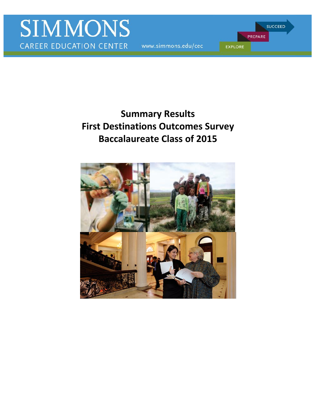www.simmons.edu/cec

PREPARE **EXPLORE** 

**SUCCEED** 

# **First Destinations Outcomes Survey Summary Results Baccalaureate Class of 2015**

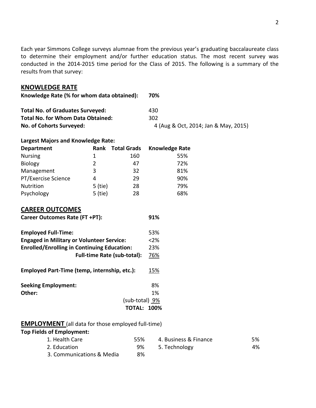Each year Simmons College surveys alumnae from the previous year's graduating baccalaureate class to determine their employment and/or further education status. The most recent survey was conducted in the 2014-2015 time period for the Class of 2015. The following is a summary of the results from that survey:

#### **KNOWLEDGE RATE**

| Knowledge Rate (% for whom data obtained): | 70%                                  |
|--------------------------------------------|--------------------------------------|
| <b>Total No. of Graduates Surveyed:</b>    | 430                                  |
| <b>Total No. for Whom Data Obtained:</b>   | 302                                  |
| No. of Cohorts Surveyed:                   | 4 (Aug & Oct, 2014; Jan & May, 2015) |

#### **Largest Majors and Knowledge Rate:**

| <b>Department</b>   | Rank    | <b>Total Grads</b> | <b>Knowledge Rate</b> |
|---------------------|---------|--------------------|-----------------------|
| <b>Nursing</b>      | 1       | 160                | 55%                   |
| <b>Biology</b>      | 2       | 47                 | 72%                   |
| Management          | 3       | 32                 | 81%                   |
| PT/Exercise Science | 4       | 29                 | 90%                   |
| Nutrition           | 5 (tie) | 28                 | 79%                   |
| Psychology          | 5 (tie) | 28                 | 68%                   |

## **CAREER OUTCOMES**

| Career Outcomes Rate (FT +PT): | 91% |
|--------------------------------|-----|
|                                |     |

| <b>Employed Full-Time:</b>                         | 53%    |
|----------------------------------------------------|--------|
| <b>Engaged in Military or Volunteer Service:</b>   | $<2\%$ |
| <b>Enrolled/Enrolling in Continuing Education:</b> | 23%    |
| <b>Full-time Rate (sub-total):</b>                 | 76%    |
| Employed Part-Time (temp, internship, etc.):       | 15%    |
| <b>Seeking Employment:</b>                         | 8%     |
| Other:                                             | 1%     |
| (sub-total) 9%                                     |        |
| <b>TOTAL:</b>                                      | 100%   |

## **EMPLOYMENT** (all data for those employed full-time)

#### **Top Fields of Employment:**

| 1. Health Care            | 55% | 4. Business & Finance | 5% |
|---------------------------|-----|-----------------------|----|
| 2. Education              | 9%  | 5. Technology         | 4% |
| 3. Communications & Media | 8%  |                       |    |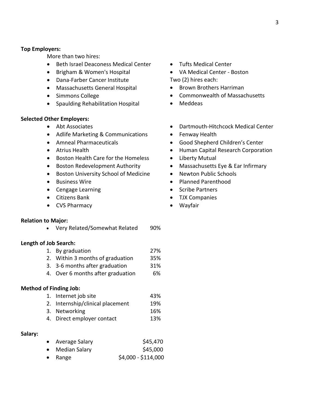#### **Top Employers:**

More than two hires:

- **•** Beth Israel Deaconess Medical Center
- Brigham & Women's Hospital
- Dana-Farber Cancer Institute
- Massachusetts General Hospital
- Simmons College
- Spaulding Rehabilitation Hospital

#### **Selected Other Employers:**

- Abt Associates
- Adlife Marketing & Communications
- Amneal Pharmaceuticals
- Atrius Health
- Boston Health Care for the Homeless
- **•** Boston Redevelopment Authority
- **•** Boston University School of Medicine
- **•** Business Wire
- Cengage Learning
- Citizens Bank
- CVS Pharmacy

#### **Relation to Major:**

• Very Related/Somewhat Related 90%

#### **Length of Job Search:**

- 1. By graduation 27%
- 2. Within 3 months of graduation 35%
- 3. 3-6 months after graduation 31%
- 4. Over 6 months after graduation 6%

#### **Method of Finding Job:**

- 1. Internet job site 43% 2. Internship/clinical placement 19%
- 3. Networking 16%
- 4. Direct employer contact 13%

#### **Salary:**

| • Average Salary | \$45,470            |
|------------------|---------------------|
| • Median Salary  | \$45,000            |
| $\bullet$ Range  | $$4,000 - $114,000$ |

- Tufts Medical Center
- VA Medical Center Boston Two (2) hires each:
- Brown Brothers Harriman
- Commonwealth of Massachusetts
- Meddeas
- Dartmouth-Hitchcock Medical Center
- Fenway Health
- Good Shepherd Children's Center
- Human Capital Research Corporation
- Liberty Mutual
- Massachusetts Eye & Ear Infirmary
- Newton Public Schools
- Planned Parenthood
- Scribe Partners
- TJX Companies
- Wayfair